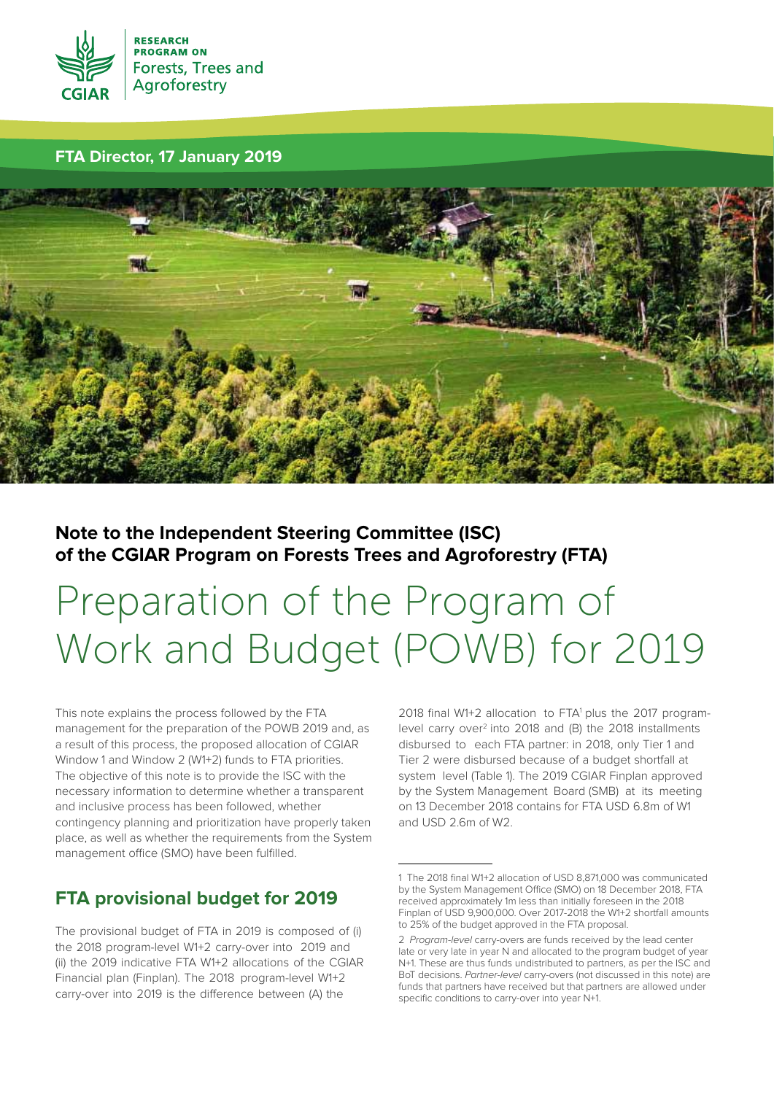

# **FTA Director, 17 January 2019**



# **Note to the Independent Steering Committee (ISC) of the CGIAR Program on Forests Trees and Agroforestry (FTA)**

# Preparation of the Program of Work and Budget (POWB) for 2019

This note explains the process followed by the FTA management for the preparation of the POWB 2019 and, as a result of this process, the proposed allocation of CGIAR Window 1 and Window 2 (W1+2) funds to FTA priorities. The objective of this note is to provide the ISC with the necessary information to determine whether a transparent and inclusive process has been followed, whether contingency planning and prioritization have properly taken place, as well as whether the requirements from the System management office (SMO) have been fulfilled.

# **FTA provisional budget for 2019**

The provisional budget of FTA in 2019 is composed of (i) the 2018 program-level W1+2 carry-over into 2019 and (ii) the 2019 indicative FTA W1+2 allocations of the CGIAR Financial plan (Finplan). The 2018 program-level W1+2 carry-over into 2019 is the difference between (A) the

2018 final W1+2 allocation to FTA1 plus the 2017 programlevel carry over<sup>2</sup> into 2018 and (B) the 2018 installments disbursed to each FTA partner: in 2018, only Tier 1 and Tier 2 were disbursed because of a budget shortfall at system level (Table 1). The 2019 CGIAR Finplan approved by the System Management Board (SMB) at its meeting on 13 December 2018 contains for FTA USD 6.8m of W1 and USD 2.6m of W2.

<sup>1</sup> The 2018 final W1+2 allocation of USD 8,871,000 was communicated by the System Management Office (SMO) on 18 December 2018, FTA received approximately 1m less than initially foreseen in the 2018 Finplan of USD 9,900,000. Over 2017-2018 the W1+2 shortfall amounts to 25% of the budget approved in the FTA proposal.

<sup>2</sup> Program-level carry-overs are funds received by the lead center late or very late in year N and allocated to the program budget of year N+1. These are thus funds undistributed to partners, as per the ISC and BoT decisions. Partner-level carry-overs (not discussed in this note) are funds that partners have received but that partners are allowed under specific conditions to carry-over into year N+1.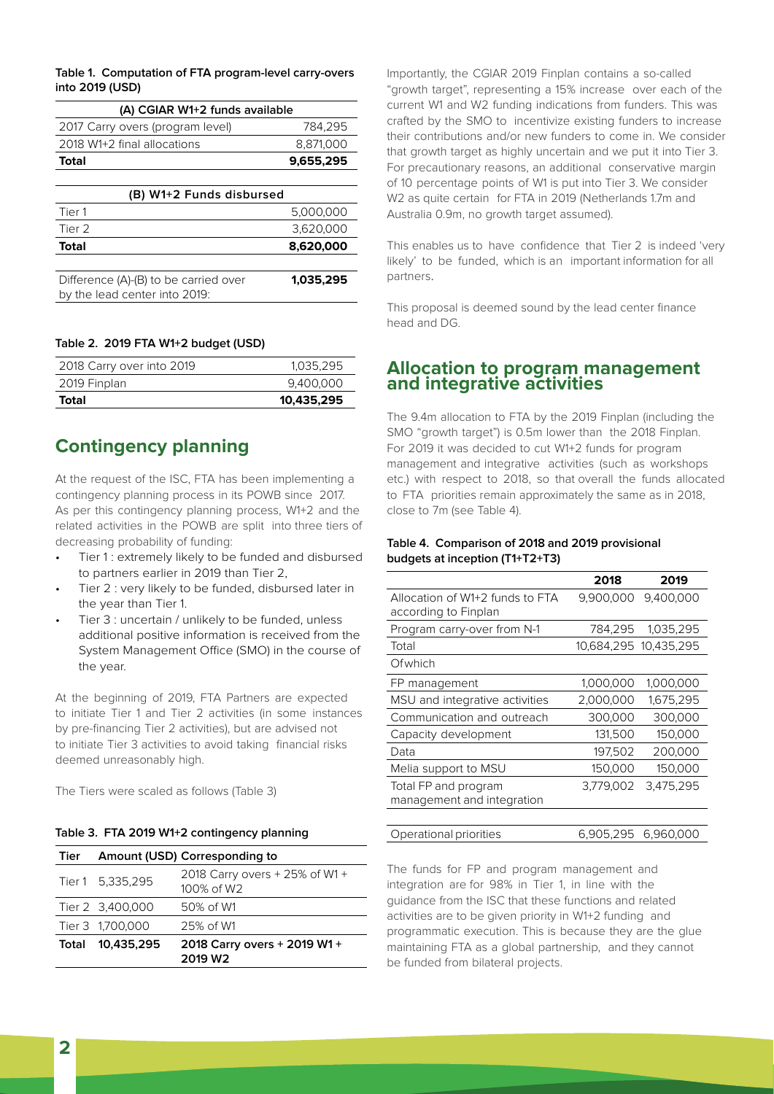**Table 1. Computation of FTA program-level carry-overs into 2019 (USD)**

| (A) CGIAR W1+2 funds available   |           |
|----------------------------------|-----------|
| 2017 Carry overs (program level) | 784.295   |
| 2018 W1+2 final allocations      | 8.871,000 |
| Total                            | 9,655,295 |

| (B) W1+2 Funds disbursed                                               |           |  |  |  |  |
|------------------------------------------------------------------------|-----------|--|--|--|--|
| Tier 1                                                                 | 5,000,000 |  |  |  |  |
| Tier 2                                                                 | 3,620,000 |  |  |  |  |
| <b>Total</b>                                                           | 8,620,000 |  |  |  |  |
|                                                                        |           |  |  |  |  |
| Difference (A)-(B) to be carried over<br>by the lead center into 2019: | 1.035.295 |  |  |  |  |

#### **Table 2. 2019 FTA W1+2 budget (USD)**

| Total                     | 10,435,295 |
|---------------------------|------------|
| 2019 Finplan              | 9.400.000  |
| 2018 Carry over into 2019 | 1,035,295  |

# **Contingency planning**

At the request of the ISC, FTA has been implementing a contingency planning process in its POWB since 2017. As per this contingency planning process, W1+2 and the related activities in the POWB are split into three tiers of decreasing probability of funding:

- Tier 1: extremely likely to be funded and disbursed to partners earlier in 2019 than Tier 2,
- Tier 2 : very likely to be funded, disbursed later in the year than Tier 1.
- Tier 3 : uncertain / unlikely to be funded, unless additional positive information is received from the System Management Office (SMO) in the course of the year.

At the beginning of 2019, FTA Partners are expected to initiate Tier 1 and Tier 2 activities (in some instances by pre-financing Tier 2 activities), but are advised not to initiate Tier 3 activities to avoid taking financial risks deemed unreasonably high.

The Tiers were scaled as follows (Table 3)

## **Table 3. FTA 2019 W1+2 contingency planning**

| Tier  |                  | Amount (USD) Corresponding to                       |
|-------|------------------|-----------------------------------------------------|
|       | Tier 1 5.335.295 | 2018 Carry overs + 25% of W1 +<br>100% of W2        |
|       | Tier 2 3,400,000 | 50% of W1                                           |
|       | Tier 3 1.700,000 | 25% of W1                                           |
| Total | 10.435.295       | 2018 Carry overs + 2019 W1 +<br>2019 W <sub>2</sub> |

Importantly, the CGIAR 2019 Finplan contains a so-called "growth target", representing a 15% increase over each of the current W1 and W2 funding indications from funders. This was crafted by the SMO to incentivize existing funders to increase their contributions and/or new funders to come in. We consider that growth target as highly uncertain and we put it into Tier 3. For precautionary reasons, an additional conservative margin of 10 percentage points of W1 is put into Tier 3. We consider W2 as quite certain for FTA in 2019 (Netherlands 1.7m and Australia 0.9m, no growth target assumed).

This enables us to have confidence that Tier 2 is indeed 'very likely' to be funded, which is an important information for all partners.

This proposal is deemed sound by the lead center finance head and DG.

# **Allocation to program management and integrative activities**

The 9.4m allocation to FTA by the 2019 Finplan (including the SMO "growth target") is 0.5m lower than the 2018 Finplan. For 2019 it was decided to cut W1+2 funds for program management and integrative activities (such as workshops etc.) with respect to 2018, so that overall the funds allocated to FTA priorities remain approximately the same as in 2018, close to 7m (see Table 4).

### **Table 4. Comparison of 2018 and 2019 provisional budgets at inception (T1+T2+T3)**

|                                 | 2018                  | 2019                |
|---------------------------------|-----------------------|---------------------|
| Allocation of W1+2 funds to FTA |                       | 9,900,000 9,400,000 |
| according to Finplan            |                       |                     |
| Program carry-over from N-1     | 784,295               | 1,035,295           |
| Total                           | 10,684,295 10,435,295 |                     |
| Ofwhich                         |                       |                     |
| FP management                   | 1,000,000             | 1,000,000           |
| MSU and integrative activities  | 2,000,000             | 1.675.295           |
| Communication and outreach      | 300,000               | 300,000             |
| Capacity development            | 131,500               | 150,000             |
| Data                            | 197,502               | 200,000             |
| Melia support to MSU            | 150,000               | 150,000             |
| Total FP and program            | 3.779.002             | 3,475,295           |
| management and integration      |                       |                     |
|                                 |                       |                     |

Operational priorities 6,905,295 6,960,000

The funds for FP and program management and integration are for 98% in Tier 1, in line with the guidance from the ISC that these functions and related activities are to be given priority in W1+2 funding and programmatic execution. This is because they are the glue maintaining FTA as a global partnership, and they cannot be funded from bilateral projects.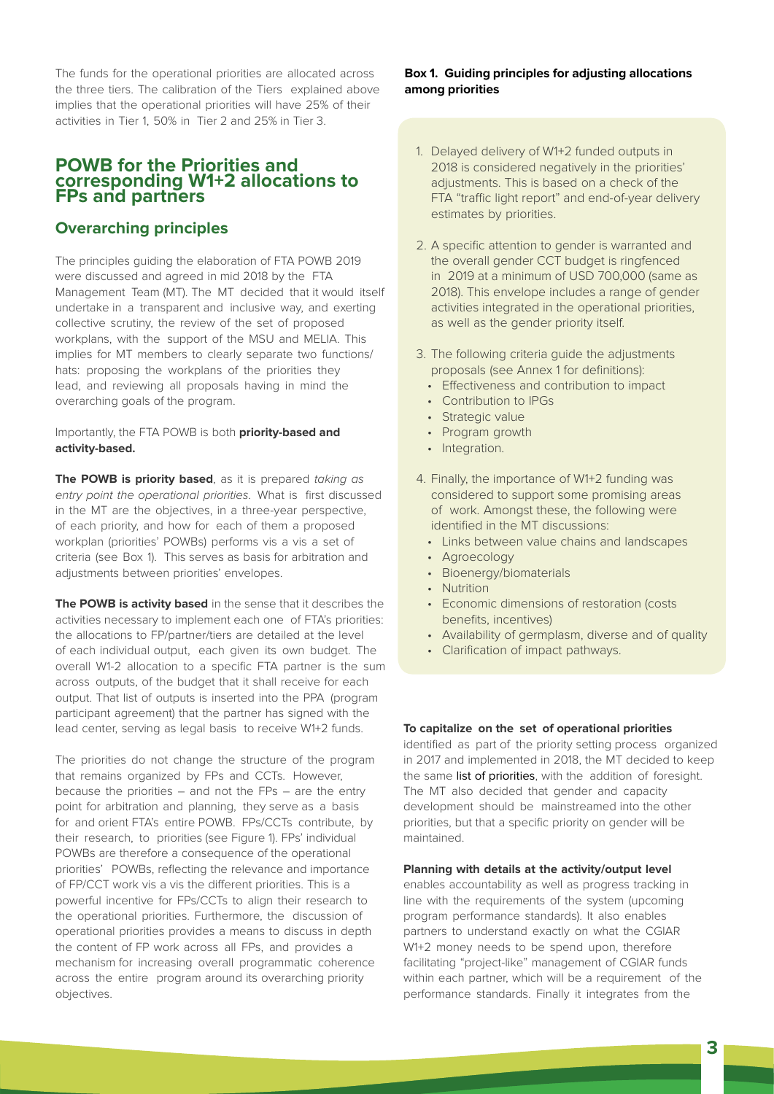The funds for the operational priorities are allocated across the three tiers. The calibration of the Tiers explained above implies that the operational priorities will have 25% of their activities in Tier 1, 50% in Tier 2 and 25% in Tier 3.

# **POWB for the Priorities and corresponding W1+2 allocations to FPs and partners**

# **Overarching principles**

The principles guiding the elaboration of FTA POWB 2019 were discussed and agreed in mid 2018 by the FTA Management Team (MT). The MT decided that it would itself undertake in a transparent and inclusive way, and exerting collective scrutiny, the review of the set of proposed workplans, with the support of the MSU and MELIA. This implies for MT members to clearly separate two functions/ hats: proposing the workplans of the priorities they lead, and reviewing all proposals having in mind the overarching goals of the program.

## Importantly, the FTA POWB is both **priority-based and activity-based.**

**The POWB is priority based**, as it is prepared taking as entry point the operational priorities. What is first discussed in the MT are the objectives, in a three-year perspective, of each priority, and how for each of them a proposed workplan (priorities' POWBs) performs vis a vis a set of criteria (see Box 1). This serves as basis for arbitration and adjustments between priorities' envelopes.

**The POWB is activity based** in the sense that it describes the activities necessary to implement each one of FTA's priorities: the allocations to FP/partner/tiers are detailed at the level of each individual output, each given its own budget. The overall W1-2 allocation to a specific FTA partner is the sum across outputs, of the budget that it shall receive for each output. That list of outputs is inserted into the PPA (program participant agreement) that the partner has signed with the lead center, serving as legal basis to receive W1+2 funds.

The priorities do not change the structure of the program that remains organized by FPs and CCTs. However, because the priorities – and not the FPs – are the entry point for arbitration and planning, they serve as a basis for and orient FTA's entire POWB. FPs/CCTs contribute, by their research, to priorities (see Figure 1). FPs' individual POWBs are therefore a consequence of the operational priorities' POWBs, reflecting the relevance and importance of FP/CCT work vis a vis the different priorities. This is a powerful incentive for FPs/CCTs to align their research to the operational priorities. Furthermore, the discussion of operational priorities provides a means to discuss in depth the content of FP work across all FPs, and provides a mechanism for increasing overall programmatic coherence across the entire program around its overarching priority objectives.

## **Box 1. Guiding principles for adjusting allocations among priorities**

- 1. Delayed delivery of W1+2 funded outputs in 2018 is considered negatively in the priorities' adjustments. This is based on a check of the FTA "traffic light report" and end-of-year delivery estimates by priorities.
- 2. A specific attention to gender is warranted and the overall gender CCT budget is ringfenced in 2019 at a minimum of USD 700,000 (same as 2018). This envelope includes a range of gender activities integrated in the operational priorities, as well as the gender priority itself.
- 3. The following criteria guide the adjustments proposals (see Annex 1 for definitions):
	- Effectiveness and contribution to impact
	- • Contribution to IPGs
	- Strategic value
	- Program growth
	- Integration.
- 4. Finally, the importance of W1+2 funding was considered to support some promising areas of work. Amongst these, the following were identified in the MT discussions:
	- • Links between value chains and landscapes
	- Agroecology
	- • Bioenergy/biomaterials
	- Nutrition
	- • Economic dimensions of restoration (costs benefits, incentives)
	- Availability of germplasm, diverse and of quality
	- Clarification of impact pathways.

## **To capitalize on the set of operational priorities**

identified as part of the priority setting process organized in 2017 and implemented in 2018, the MT decided to keep the same list of priorities, with the addition of foresight. The MT also decided that gender and capacity development should be mainstreamed into the other priorities, but that a specific priority on gender will be maintained.

## **Planning with details at the activity/output level**

enables accountability as well as progress tracking in line with the requirements of the system (upcoming program performance standards). It also enables partners to understand exactly on what the CGIAR W1+2 money needs to be spend upon, therefore facilitating "project-like" management of CGIAR funds within each partner, which will be a requirement of the performance standards. Finally it integrates from the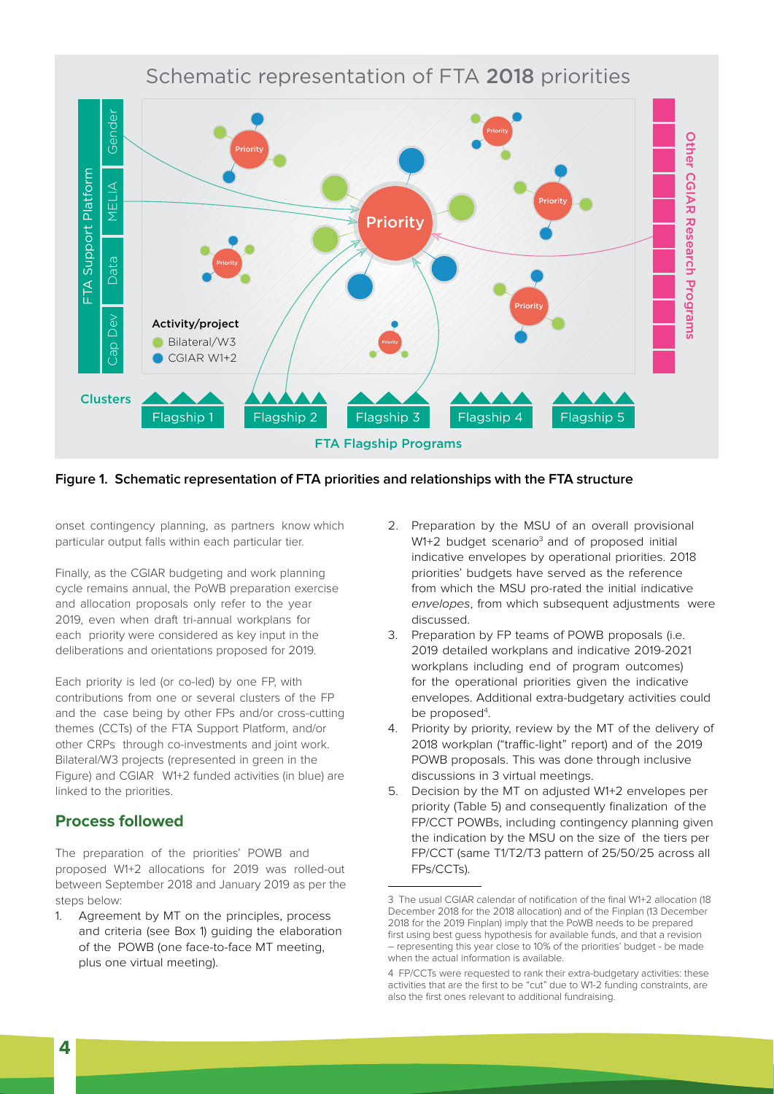# Schematic representation of FTA 2018 priorities



# **Figure 1. Schematic representation of FTA priorities and relationships with the FTA structure**

onset contingency planning, as partners know which particular output falls within each particular tier.

Finally, as the CGIAR budgeting and work planning cycle remains annual, the PoWB preparation exercise and allocation proposals only refer to the year 2019, even when draft tri-annual workplans for each priority were considered as key input in the deliberations and orientations proposed for 2019.

Each priority is led (or co-led) by one FP, with contributions from one or several clusters of the FP and the case being by other FPs and/or cross-cutting themes (CCTs) of the FTA Support Platform, and/or other CRPs through co-investments and joint work. Bilateral/W3 projects (represented in green in the Figure) and CGIAR W1+2 funded activities (in blue) are linked to the priorities.

# **Process followed**

The preparation of the priorities' POWB and proposed W1+2 allocations for 2019 was rolled-out between September 2018 and January 2019 as per the steps below:

1. Agreement by MT on the principles, process and criteria (see Box 1) guiding the elaboration of the POWB (one face-to-face MT meeting, plus one virtual meeting).

- 2. Preparation by the MSU of an overall provisional W1+2 budget scenario<sup>3</sup> and of proposed initial indicative envelopes by operational priorities. 2018 priorities' budgets have served as the reference from which the MSU pro-rated the initial indicative envelopes, from which subsequent adjustments were discussed.
- 3. Preparation by FP teams of POWB proposals (i.e. 2019 detailed workplans and indicative 2019-2021 workplans including end of program outcomes) for the operational priorities given the indicative envelopes. Additional extra-budgetary activities could be proposed<sup>4</sup>.
- 4. Priority by priority, review by the MT of the delivery of 2018 workplan ("traffic-light" report) and of the 2019 POWB proposals. This was done through inclusive discussions in 3 virtual meetings.
- 5. Decision by the MT on adjusted W1+2 envelopes per priority (Table 5) and consequently finalization of the FP/CCT POWBs, including contingency planning given the indication by the MSU on the size of the tiers per FP/CCT (same T1/T2/T3 pattern of 25/50/25 across all FPs/CCTs).

<sup>3</sup> The usual CGIAR calendar of notification of the final W1+2 allocation (18 December 2018 for the 2018 allocation) and of the Finplan (13 December 2018 for the 2019 Finplan) imply that the PoWB needs to be prepared first using best guess hypothesis for available funds, and that a revision – representing this year close to 10% of the priorities' budget - be made when the actual information is available.

<sup>4</sup> FP/CCTs were requested to rank their extra-budgetary activities: these activities that are the first to be "cut" due to W1-2 funding constraints, are also the first ones relevant to additional fundraising.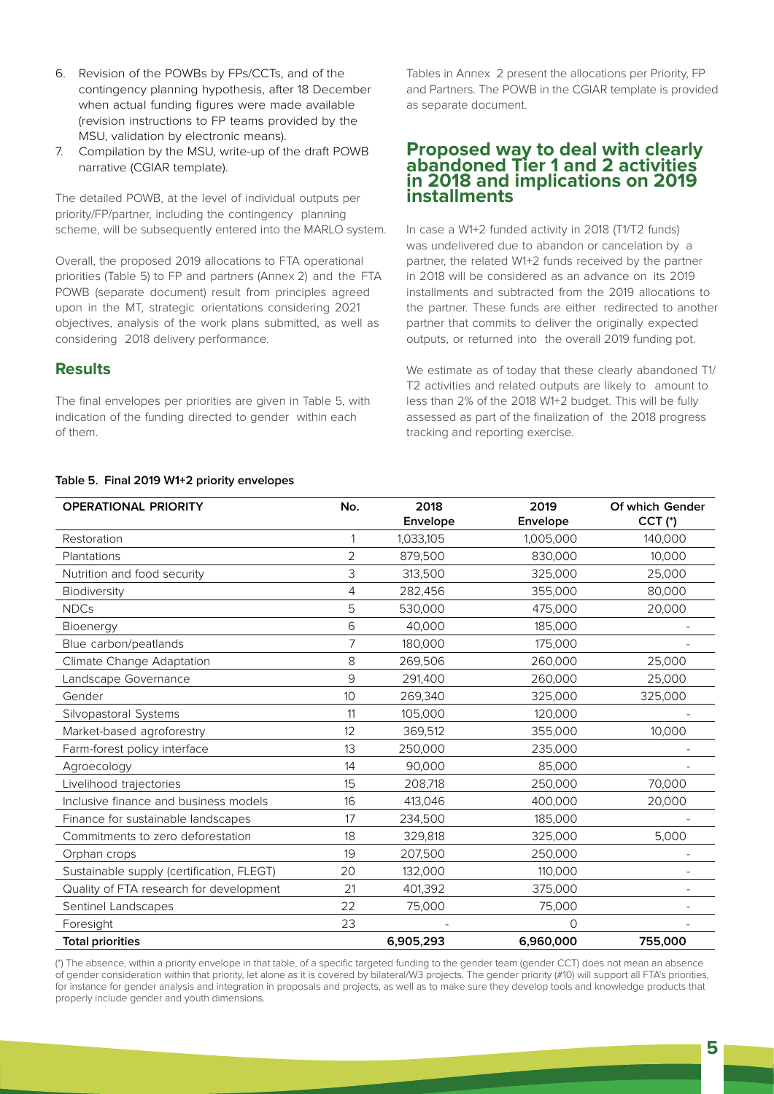- 6. Revision of the POWBs by FPs/CCTs, and of the contingency planning hypothesis, after 18 December when actual funding figures were made available (revision instructions to FP teams provided by the MSU, validation by electronic means).
- 7. Compilation by the MSU, write-up of the draft POWB narrative (CGIAR template).

The detailed POWB, at the level of individual outputs per priority/FP/partner, including the contingency planning scheme, will be subsequently entered into the MARLO system.

Overall, the proposed 2019 allocations to FTA operational priorities (Table 5) to FP and partners (Annex 2) and the FTA POWB (separate document) result from principles agreed upon in the MT, strategic orientations considering 2021 objectives, analysis of the work plans submitted, as well as considering 2018 delivery performance.

# **Results**

The final envelopes per priorities are given in Table 5, with indication of the funding directed to gender within each of them.

Tables in Annex 2 present the allocations per Priority, FP and Partners. The POWB in the CGIAR template is provided as separate document.

# **Proposed way to deal with clearly abandoned Tier 1 and 2 activities in 2018 and implications on 2019 installments**

In case a W1+2 funded activity in 2018 (T1/T2 funds) was undelivered due to abandon or cancelation by a partner, the related W1+2 funds received by the partner in 2018 will be considered as an advance on its 2019 installments and subtracted from the 2019 allocations to the partner. These funds are either redirected to another partner that commits to deliver the originally expected outputs, or returned into the overall 2019 funding pot.

We estimate as of today that these clearly abandoned T1/ T2 activities and related outputs are likely to amount to less than 2% of the 2018 W1+2 budget. This will be fully assessed as part of the finalization of the 2018 progress tracking and reporting exercise.

### **Table 5. Final 2019 W1+2 priority envelopes**

| <b>OPERATIONAL PRIORITY</b>               | No.             | 2018<br>Envelope | 2019<br>Envelope | Of which Gender<br>$CCT$ (*) |
|-------------------------------------------|-----------------|------------------|------------------|------------------------------|
| Restoration                               |                 | 1,033,105        | 1,005,000        | 140,000                      |
| Plantations                               | $\overline{2}$  | 879,500          | 830,000          | 10,000                       |
| Nutrition and food security               | 3               | 313,500          | 325,000          | 25,000                       |
| Biodiversity                              | 4               | 282,456          | 355,000          | 80,000                       |
| <b>NDCs</b>                               | 5               | 530,000          | 475,000          | 20,000                       |
| Bioenergy                                 | 6               | 40,000           | 185,000          |                              |
| Blue carbon/peatlands                     | 7               | 180,000          | 175,000          |                              |
| Climate Change Adaptation                 | 8               | 269,506          | 260,000          | 25,000                       |
| Landscape Governance                      | 9               | 291,400          | 260,000          | 25,000                       |
| Gender                                    | 10 <sup>°</sup> | 269,340          | 325,000          | 325,000                      |
| Silvopastoral Systems                     | 11              | 105,000          | 120,000          |                              |
| Market-based agroforestry                 | 12              | 369,512          | 355,000          | 10,000                       |
| Farm-forest policy interface              | 13              | 250,000          | 235,000          |                              |
| Agroecology                               | 14              | 90,000           | 85,000           |                              |
| Livelihood trajectories                   | 15              | 208,718          | 250,000          | 70,000                       |
| Inclusive finance and business models     | 16              | 413,046          | 400,000          | 20,000                       |
| Finance for sustainable landscapes        | 17              | 234,500          | 185,000          |                              |
| Commitments to zero deforestation         | 18              | 329,818          | 325,000          | 5,000                        |
| Orphan crops                              | 19              | 207,500          | 250,000          |                              |
| Sustainable supply (certification, FLEGT) | 20              | 132,000          | 110,000          |                              |
| Quality of FTA research for development   | 21              | 401,392          | 375,000          |                              |
| Sentinel Landscapes                       | 22              | 75,000           | 75,000           |                              |
| Foresight                                 | 23              |                  | $\Omega$         |                              |
| <b>Total priorities</b>                   |                 | 6,905,293        | 6,960,000        | 755,000                      |

(\*) The absence, within a priority envelope in that table, of a specific targeted funding to the gender team (gender CCT) does not mean an absence of gender consideration within that priority, let alone as it is covered by bilateral/W3 projects. The gender priority (#10) will support all FTA's priorities, for instance for gender analysis and integration in proposals and projects, as well as to make sure they develop tools and knowledge products that properly include gender and youth dimensions.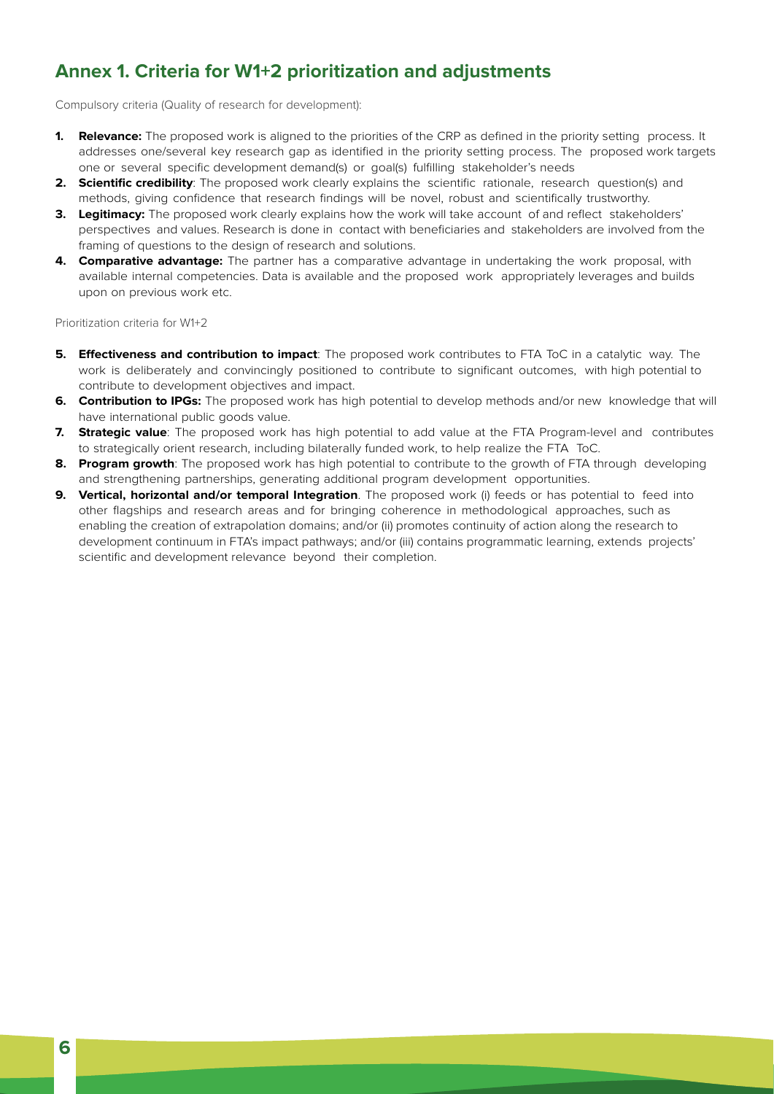# **Annex 1. Criteria for W1+2 prioritization and adjustments**

Compulsory criteria (Quality of research for development):

- **1. Relevance:** The proposed work is aligned to the priorities of the CRP as defined in the priority setting process. It addresses one/several key research gap as identified in the priority setting process. The proposed work targets one or several specific development demand(s) or goal(s) fulfilling stakeholder's needs
- **2. Scientific credibility**: The proposed work clearly explains the scientific rationale, research question(s) and methods, giving confidence that research findings will be novel, robust and scientifically trustworthy.
- **3. Legitimacy:** The proposed work clearly explains how the work will take account of and reflect stakeholders' perspectives and values. Research is done in contact with beneficiaries and stakeholders are involved from the framing of questions to the design of research and solutions.
- **4. Comparative advantage:** The partner has a comparative advantage in undertaking the work proposal, with available internal competencies. Data is available and the proposed work appropriately leverages and builds upon on previous work etc.

Prioritization criteria for W1+2

- **5. Effectiveness and contribution to impact**: The proposed work contributes to FTA ToC in a catalytic way. The work is deliberately and convincingly positioned to contribute to significant outcomes, with high potential to contribute to development objectives and impact.
- **6. Contribution to IPGs:** The proposed work has high potential to develop methods and/or new knowledge that will have international public goods value.
- **7. Strategic value**: The proposed work has high potential to add value at the FTA Program-level and contributes to strategically orient research, including bilaterally funded work, to help realize the FTA ToC.
- **8. Program growth**: The proposed work has high potential to contribute to the growth of FTA through developing and strengthening partnerships, generating additional program development opportunities.
- **9. Vertical, horizontal and/or temporal Integration**. The proposed work (i) feeds or has potential to feed into other flagships and research areas and for bringing coherence in methodological approaches, such as enabling the creation of extrapolation domains; and/or (ii) promotes continuity of action along the research to development continuum in FTA's impact pathways; and/or (iii) contains programmatic learning, extends projects' scientific and development relevance beyond their completion.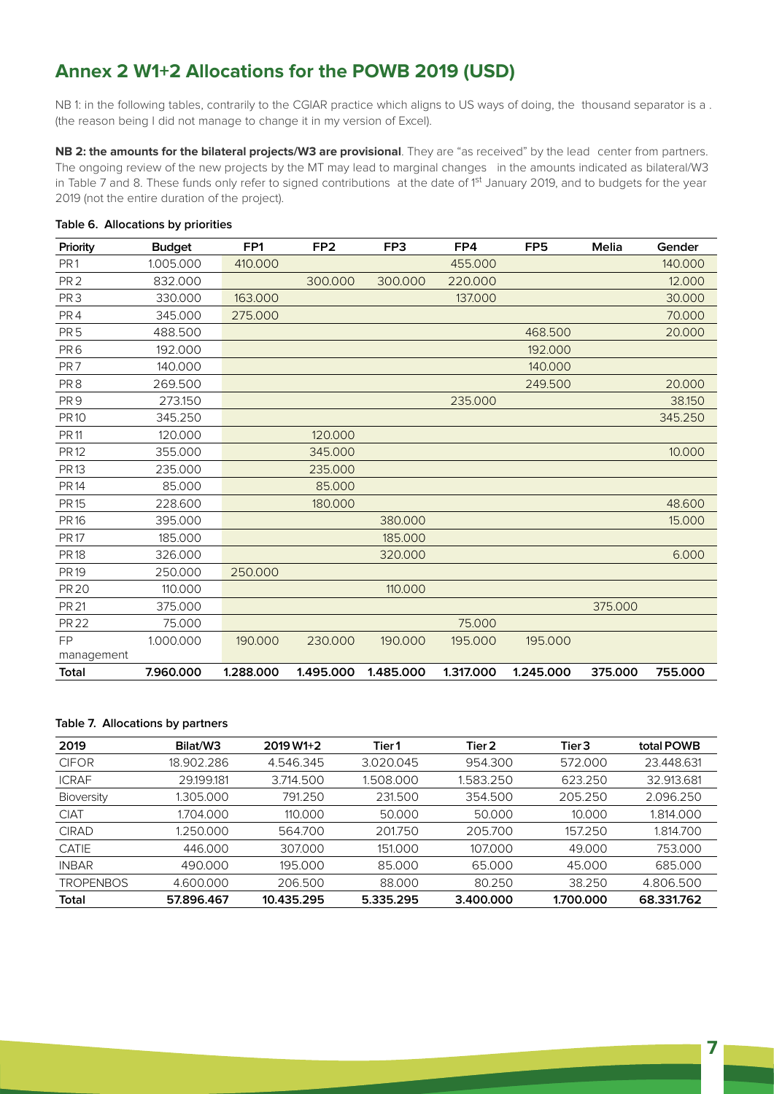# **Annex 2 W1+2 Allocations for the POWB 2019 (USD)**

NB 1: in the following tables, contrarily to the CGIAR practice which aligns to US ways of doing, the thousand separator is a. (the reason being I did not manage to change it in my version of Excel).

**NB 2: the amounts for the bilateral projects/W3 are provisional**. They are "as received" by the lead center from partners. The ongoing review of the new projects by the MT may lead to marginal changes in the amounts indicated as bilateral/W3 in Table 7 and 8. These funds only refer to signed contributions at the date of 1<sup>st</sup> January 2019, and to budgets for the year 2019 (not the entire duration of the project).

| Priority        | <b>Budget</b> | FP <sub>1</sub> | FP <sub>2</sub> | FP3       | FP4       | FP <sub>5</sub> | <b>Melia</b> | Gender  |
|-----------------|---------------|-----------------|-----------------|-----------|-----------|-----------------|--------------|---------|
| PR <sub>1</sub> | 1.005.000     | 410.000         |                 |           | 455.000   |                 |              | 140.000 |
| PR <sub>2</sub> | 832.000       |                 | 300.000         | 300.000   | 220.000   |                 |              | 12.000  |
| PR <sub>3</sub> | 330.000       | 163,000         |                 |           | 137.000   |                 |              | 30.000  |
| PR4             | 345.000       | 275.000         |                 |           |           |                 |              | 70.000  |
| PR <sub>5</sub> | 488.500       |                 |                 |           |           | 468.500         |              | 20.000  |
| PR <sub>6</sub> | 192.000       |                 |                 |           |           | 192,000         |              |         |
| PR7             | 140.000       |                 |                 |           |           | 140.000         |              |         |
| PR <sub>8</sub> | 269.500       |                 |                 |           |           | 249.500         |              | 20.000  |
| PR <sub>9</sub> | 273.150       |                 |                 |           | 235.000   |                 |              | 38.150  |
| <b>PR10</b>     | 345.250       |                 |                 |           |           |                 |              | 345.250 |
| <b>PR11</b>     | 120.000       |                 | 120.000         |           |           |                 |              |         |
| <b>PR12</b>     | 355.000       |                 | 345.000         |           |           |                 |              | 10.000  |
| <b>PR13</b>     | 235.000       |                 | 235.000         |           |           |                 |              |         |
| <b>PR14</b>     | 85.000        |                 | 85,000          |           |           |                 |              |         |
| <b>PR15</b>     | 228.600       |                 | 180.000         |           |           |                 |              | 48.600  |
| <b>PR16</b>     | 395.000       |                 |                 | 380.000   |           |                 |              | 15.000  |
| <b>PR17</b>     | 185.000       |                 |                 | 185.000   |           |                 |              |         |
| <b>PR18</b>     | 326.000       |                 |                 | 320.000   |           |                 |              | 6.000   |
| <b>PR19</b>     | 250.000       | 250.000         |                 |           |           |                 |              |         |
| <b>PR 20</b>    | 110.000       |                 |                 | 110,000   |           |                 |              |         |
| <b>PR 21</b>    | 375.000       |                 |                 |           |           |                 | 375.000      |         |
| <b>PR 22</b>    | 75.000        |                 |                 |           | 75.000    |                 |              |         |
| <b>FP</b>       | 1.000.000     | 190.000         | 230.000         | 190.000   | 195.000   | 195.000         |              |         |
| management      |               |                 |                 |           |           |                 |              |         |
| Total           | 7.960.000     | 1.288.000       | 1.495.000       | 1.485.000 | 1.317.000 | 1.245.000       | 375.000      | 755.000 |

## **Table 6. Allocations by priorities**

## **Table 7. Allocations by partners**

| 2019              | Bilat/W3   | $2019 W1+2$ | Tier 1    | Tier 2    | Tier 3    | total POWB |
|-------------------|------------|-------------|-----------|-----------|-----------|------------|
| <b>CIFOR</b>      | 18.902.286 | 4.546.345   | 3.020.045 | 954.300   | 572.000   | 23.448.631 |
| <b>ICRAF</b>      | 29.199.181 | 3.714.500   | 1.508.000 | 1.583.250 | 623.250   | 32.913.681 |
| <b>Bioversity</b> | 1.305.000  | 791.250     | 231.500   | 354.500   | 205.250   | 2.096.250  |
| <b>CIAT</b>       | 1704.000   | 110.000     | 50.000    | 50.000    | 10.000    | 1.814.000  |
| <b>CIRAD</b>      | 1.250.000  | 564.700     | 201750    | 205.700   | 157.250   | 1.814.700  |
| <b>CATIE</b>      | 446,000    | 307.000     | 151.000   | 107.000   | 49.000    | 753.000    |
| <b>INBAR</b>      | 490.000    | 195.000     | 85.000    | 65.000    | 45.000    | 685,000    |
| <b>TROPENBOS</b>  | 4.600.000  | 206.500     | 88.000    | 80.250    | 38.250    | 4.806.500  |
| Total             | 57.896.467 | 10.435.295  | 5.335.295 | 3.400.000 | 1.700.000 | 68.331.762 |